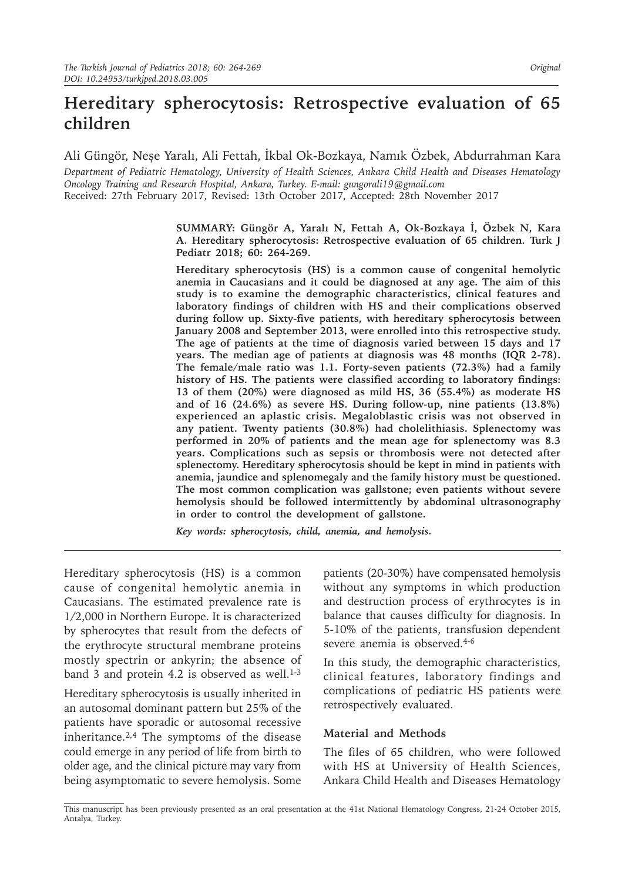Ali Güngör, Neşe Yaralı, Ali Fettah, İkbal Ok-Bozkaya, Namık Özbek, Abdurrahman Kara

*Department of Pediatric Hematology, University of Health Sciences, Ankara Child Health and Diseases Hematology Oncology Training and Research Hospital, Ankara, Turkey. E-mail: gungorali19@gmail.com* Received: 27th February 2017, Revised: 13th October 2017, Accepted: 28th November 2017

> **SUMMARY: Güngör A, Yaralı N, Fettah A, Ok-Bozkaya İ, Özbek N, Kara A. Hereditary spherocytosis: Retrospective evaluation of 65 children. Turk J Pediatr 2018; 60: 264-269.**

> **Hereditary spherocytosis (HS) is a common cause of congenital hemolytic anemia in Caucasians and it could be diagnosed at any age. The aim of this study is to examine the demographic characteristics, clinical features and laboratory findings of children with HS and their complications observed during follow up. Sixty-five patients, with hereditary spherocytosis between January 2008 and September 2013, were enrolled into this retrospective study. The age of patients at the time of diagnosis varied between 15 days and 17 years. The median age of patients at diagnosis was 48 months (IQR 2-78). The female/male ratio was 1.1. Forty-seven patients (72.3%) had a family history of HS. The patients were classified according to laboratory findings: 13 of them (20%) were diagnosed as mild HS, 36 (55.4%) as moderate HS and of 16 (24.6%) as severe HS. During follow-up, nine patients (13.8%) experienced an aplastic crisis. Megaloblastic crisis was not observed in any patient. Twenty patients (30.8%) had cholelithiasis. Splenectomy was performed in 20% of patients and the mean age for splenectomy was 8.3 years. Complications such as sepsis or thrombosis were not detected after splenectomy. Hereditary spherocytosis should be kept in mind in patients with anemia, jaundice and splenomegaly and the family history must be questioned. The most common complication was gallstone; even patients without severe hemolysis should be followed intermittently by abdominal ultrasonography in order to control the development of gallstone.**

*Key words: spherocytosis, child, anemia, and hemolysis.*

Hereditary spherocytosis (HS) is a common cause of congenital hemolytic anemia in Caucasians. The estimated prevalence rate is 1/2,000 in Northern Europe. It is characterized by spherocytes that result from the defects of the erythrocyte structural membrane proteins mostly spectrin or ankyrin; the absence of band 3 and protein 4.2 is observed as well. $1-3$ 

Hereditary spherocytosis is usually inherited in an autosomal dominant pattern but 25% of the patients have sporadic or autosomal recessive inheritance.2,4 The symptoms of the disease could emerge in any period of life from birth to older age, and the clinical picture may vary from being asymptomatic to severe hemolysis. Some

patients (20-30%) have compensated hemolysis without any symptoms in which production and destruction process of erythrocytes is in balance that causes difficulty for diagnosis. In 5-10% of the patients, transfusion dependent severe anemia is observed.<sup>4-6</sup>

In this study, the demographic characteristics, clinical features, laboratory findings and complications of pediatric HS patients were retrospectively evaluated.

## **Material and Methods**

The files of 65 children, who were followed with HS at University of Health Sciences, Ankara Child Health and Diseases Hematology

This manuscript has been previously presented as an oral presentation at the 41st National Hematology Congress, 21-24 October 2015, Antalya, Turkey.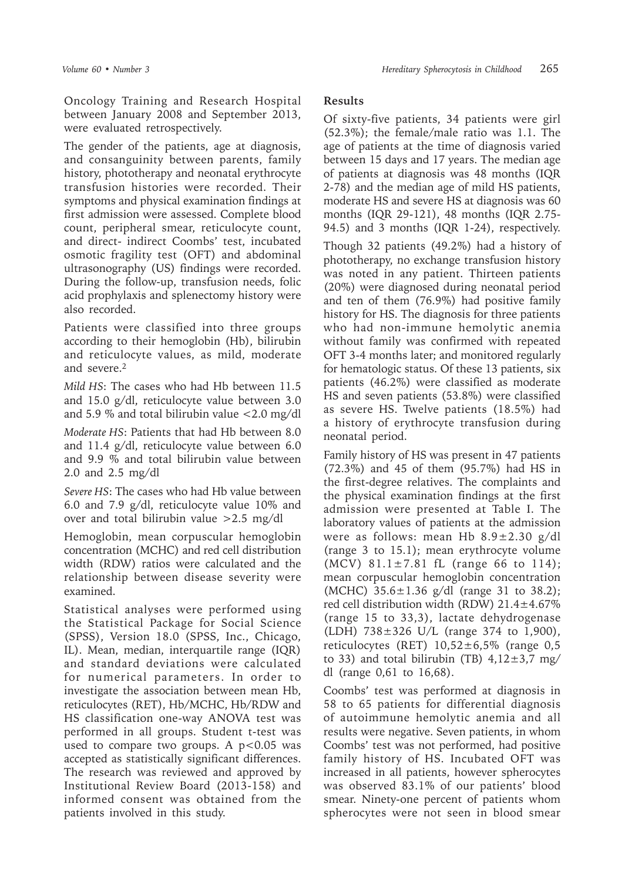Oncology Training and Research Hospital between January 2008 and September 2013, were evaluated retrospectively.

The gender of the patients, age at diagnosis, and consanguinity between parents, family history, phototherapy and neonatal erythrocyte transfusion histories were recorded. Their symptoms and physical examination findings at first admission were assessed. Complete blood count, peripheral smear, reticulocyte count, and direct- indirect Coombs' test, incubated osmotic fragility test (OFT) and abdominal ultrasonography (US) findings were recorded. During the follow-up, transfusion needs, folic acid prophylaxis and splenectomy history were also recorded.

Patients were classified into three groups according to their hemoglobin (Hb), bilirubin and reticulocyte values, as mild, moderate and severe.<sup>2</sup>

*Mild HS*: The cases who had Hb between 11.5 and 15.0 g/dl, reticulocyte value between 3.0 and 5.9  $%$  and total bilirubin value  $<$  2.0 mg/dl

*Moderate HS*: Patients that had Hb between 8.0 and 11.4 g/dl, reticulocyte value between 6.0 and 9.9 % and total bilirubin value between 2.0 and 2.5 mg/dl

*Severe HS*: The cases who had Hb value between 6.0 and 7.9 g/dl, reticulocyte value 10% and over and total bilirubin value >2.5 mg/dl

Hemoglobin, mean corpuscular hemoglobin concentration (MCHC) and red cell distribution width (RDW) ratios were calculated and the relationship between disease severity were examined.

Statistical analyses were performed using the Statistical Package for Social Science (SPSS), Version 18.0 (SPSS, Inc., Chicago, IL). Mean, median, interquartile range (IQR) and standard deviations were calculated for numerical parameters. In order to investigate the association between mean Hb, reticulocytes (RET), Hb/MCHC, Hb/RDW and HS classification one-way ANOVA test was performed in all groups. Student t-test was used to compare two groups. A  $p < 0.05$  was accepted as statistically significant differences. The research was reviewed and approved by Institutional Review Board (2013-158) and informed consent was obtained from the patients involved in this study.

## **Results**

Of sixty-five patients, 34 patients were girl (52.3%); the female/male ratio was 1.1. The age of patients at the time of diagnosis varied between 15 days and 17 years. The median age of patients at diagnosis was 48 months (IQR 2-78) and the median age of mild HS patients, moderate HS and severe HS at diagnosis was 60 months (IQR 29-121), 48 months (IQR 2.75- 94.5) and 3 months (IQR 1-24), respectively. Though 32 patients (49.2%) had a history of phototherapy, no exchange transfusion history was noted in any patient. Thirteen patients (20%) were diagnosed during neonatal period and ten of them (76.9%) had positive family history for HS. The diagnosis for three patients who had non-immune hemolytic anemia without family was confirmed with repeated OFT 3-4 months later; and monitored regularly for hematologic status. Of these 13 patients, six patients (46.2%) were classified as moderate HS and seven patients (53.8%) were classified as severe HS. Twelve patients (18.5%) had a history of erythrocyte transfusion during neonatal period.

Family history of HS was present in 47 patients (72.3%) and 45 of them (95.7%) had HS in the first-degree relatives. The complaints and the physical examination findings at the first admission were presented at Table I. The laboratory values of patients at the admission were as follows: mean Hb  $8.9 \pm 2.30$  g/dl (range 3 to 15.1); mean erythrocyte volume (MCV) 81.1±7.81 fL (range 66 to 114); mean corpuscular hemoglobin concentration (MCHC) 35.6±1.36 g/dl (range 31 to 38.2); red cell distribution width (RDW) 21.4±4.67% (range 15 to 33,3), lactate dehydrogenase (LDH) 738±326 U/L (range 374 to 1,900), reticulocytes (RET)  $10.52 \pm 6.5\%$  (range 0.5 to 33) and total bilirubin (TB)  $4,12\pm3,7$  mg/ dl (range 0,61 to 16,68).

Coombs' test was performed at diagnosis in 58 to 65 patients for differential diagnosis of autoimmune hemolytic anemia and all results were negative. Seven patients, in whom Coombs' test was not performed, had positive family history of HS. Incubated OFT was increased in all patients, however spherocytes was observed 83.1% of our patients' blood smear. Ninety-one percent of patients whom spherocytes were not seen in blood smear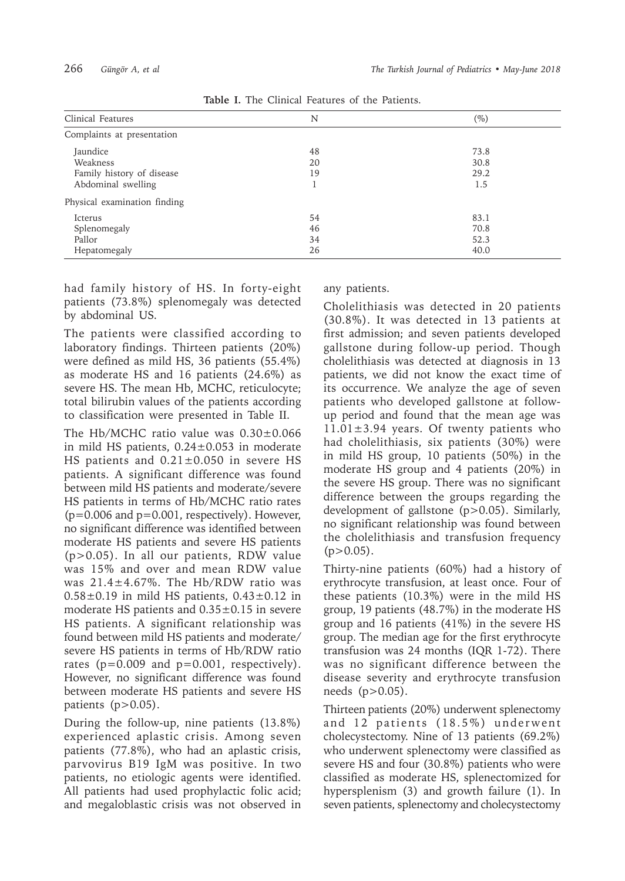| Clinical Features            | N  | $(\%)$ |
|------------------------------|----|--------|
| Complaints at presentation   |    |        |
| Jaundice                     | 48 | 73.8   |
| Weakness                     | 20 | 30.8   |
| Family history of disease    | 19 | 29.2   |
| Abdominal swelling           |    | 1.5    |
| Physical examination finding |    |        |
| Icterus                      | 54 | 83.1   |
| Splenomegaly                 | 46 | 70.8   |
| Pallor                       | 34 | 52.3   |
| Hepatomegaly                 | 26 | 40.0   |

**Table I.** The Clinical Features of the Patients.

had family history of HS. In forty-eight patients (73.8%) splenomegaly was detected by abdominal US.

The patients were classified according to laboratory findings. Thirteen patients (20%) were defined as mild HS, 36 patients (55.4%) as moderate HS and 16 patients (24.6%) as severe HS. The mean Hb, MCHC, reticulocyte; total bilirubin values of the patients according to classification were presented in Table II.

The Hb/MCHC ratio value was 0.30±0.066 in mild HS patients,  $0.24 \pm 0.053$  in moderate HS patients and  $0.21 \pm 0.050$  in severe HS patients. A significant difference was found between mild HS patients and moderate/severe HS patients in terms of Hb/MCHC ratio rates (p=0.006 and p=0.001, respectively). However, no significant difference was identified between moderate HS patients and severe HS patients (p>0.05). In all our patients, RDW value was 15% and over and mean RDW value was 21.4±4.67%. The Hb/RDW ratio was  $0.58\pm0.19$  in mild HS patients,  $0.43\pm0.12$  in moderate HS patients and  $0.35\pm0.15$  in severe HS patients. A significant relationship was found between mild HS patients and moderate/ severe HS patients in terms of Hb/RDW ratio rates ( $p=0.009$  and  $p=0.001$ , respectively). However, no significant difference was found between moderate HS patients and severe HS patients  $(p>0.05)$ .

During the follow-up, nine patients (13.8%) experienced aplastic crisis. Among seven patients (77.8%), who had an aplastic crisis, parvovirus B19 IgM was positive. In two patients, no etiologic agents were identified. All patients had used prophylactic folic acid; and megaloblastic crisis was not observed in any patients.

Cholelithiasis was detected in 20 patients (30.8%). It was detected in 13 patients at first admission; and seven patients developed gallstone during follow-up period. Though cholelithiasis was detected at diagnosis in 13 patients, we did not know the exact time of its occurrence. We analyze the age of seven patients who developed gallstone at followup period and found that the mean age was  $11.01 \pm 3.94$  years. Of twenty patients who had cholelithiasis, six patients (30%) were in mild HS group, 10 patients (50%) in the moderate HS group and 4 patients (20%) in the severe HS group. There was no significant difference between the groups regarding the development of gallstone (p>0.05). Similarly, no significant relationship was found between the cholelithiasis and transfusion frequency  $(p>0.05)$ .

Thirty-nine patients (60%) had a history of erythrocyte transfusion, at least once. Four of these patients (10.3%) were in the mild HS group, 19 patients (48.7%) in the moderate HS group and 16 patients (41%) in the severe HS group. The median age for the first erythrocyte transfusion was 24 months (IQR 1-72). There was no significant difference between the disease severity and erythrocyte transfusion needs (p>0.05).

Thirteen patients (20%) underwent splenectomy and 12 patients (18.5%) underwent cholecystectomy. Nine of 13 patients (69.2%) who underwent splenectomy were classified as severe HS and four (30.8%) patients who were classified as moderate HS, splenectomized for hypersplenism (3) and growth failure (1). In seven patients, splenectomy and cholecystectomy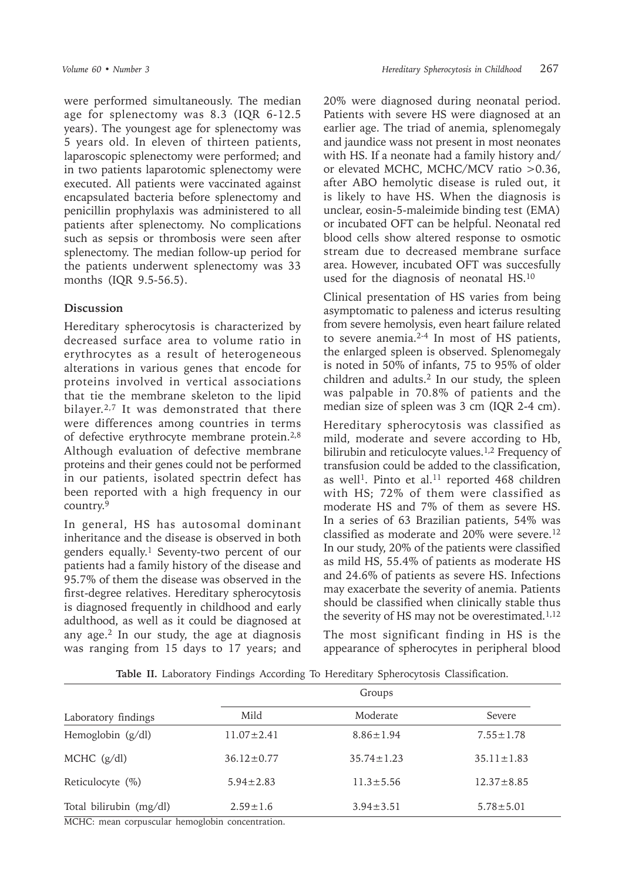were performed simultaneously. The median age for splenectomy was 8.3 (IQR 6-12.5 years). The youngest age for splenectomy was 5 years old. In eleven of thirteen patients, laparoscopic splenectomy were performed; and in two patients laparotomic splenectomy were executed. All patients were vaccinated against encapsulated bacteria before splenectomy and penicillin prophylaxis was administered to all patients after splenectomy. No complications such as sepsis or thrombosis were seen after splenectomy. The median follow-up period for the patients underwent splenectomy was 33 months (IQR 9.5-56.5).

## **Discussion**

Hereditary spherocytosis is characterized by decreased surface area to volume ratio in erythrocytes as a result of heterogeneous alterations in various genes that encode for proteins involved in vertical associations that tie the membrane skeleton to the lipid bilayer.<sup>2,7</sup> It was demonstrated that there were differences among countries in terms of defective erythrocyte membrane protein.2,8 Although evaluation of defective membrane proteins and their genes could not be performed in our patients, isolated spectrin defect has been reported with a high frequency in our country.9

In general, HS has autosomal dominant inheritance and the disease is observed in both genders equally.<sup>1</sup> Seventy-two percent of our patients had a family history of the disease and 95.7% of them the disease was observed in the first-degree relatives. Hereditary spherocytosis is diagnosed frequently in childhood and early adulthood, as well as it could be diagnosed at any age. $2$  In our study, the age at diagnosis was ranging from 15 days to 17 years; and

20% were diagnosed during neonatal period. Patients with severe HS were diagnosed at an earlier age. The triad of anemia, splenomegaly and jaundice wass not present in most neonates with HS. If a neonate had a family history and/ or elevated MCHC, MCHC/MCV ratio >0.36, after ABO hemolytic disease is ruled out, it is likely to have HS. When the diagnosis is unclear, eosin-5-maleimide binding test (EMA) or incubated OFT can be helpful. Neonatal red blood cells show altered response to osmotic stream due to decreased membrane surface area. However, incubated OFT was succesfully used for the diagnosis of neonatal HS.<sup>10</sup>

Clinical presentation of HS varies from being asymptomatic to paleness and icterus resulting from severe hemolysis, even heart failure related to severe anemia.2-4 In most of HS patients, the enlarged spleen is observed. Splenomegaly is noted in 50% of infants, 75 to 95% of older children and adults.<sup>2</sup> In our study, the spleen was palpable in 70.8% of patients and the median size of spleen was 3 cm (IQR 2-4 cm).

Hereditary spherocytosis was classified as mild, moderate and severe according to Hb, bilirubin and reticulocyte values.<sup>1,2</sup> Frequency of transfusion could be added to the classification, as well<sup>1</sup>. Pinto et al.<sup>11</sup> reported 468 children with HS; 72% of them were classified as moderate HS and 7% of them as severe HS. In a series of 63 Brazilian patients, 54% was classified as moderate and 20% were severe.<sup>12</sup> In our study, 20% of the patients were classified as mild HS, 55.4% of patients as moderate HS and 24.6% of patients as severe HS. Infections may exacerbate the severity of anemia. Patients should be classified when clinically stable thus the severity of HS may not be overestimated. $1,12$ 

The most significant finding in HS is the appearance of spherocytes in peripheral blood

|                         | Groups           |                  |                  |
|-------------------------|------------------|------------------|------------------|
| Laboratory findings     | Mild             | Moderate         | Severe           |
| Hemoglobin $(g/dl)$     | $11.07 \pm 2.41$ | $8.86 \pm 1.94$  | $7.55 \pm 1.78$  |
| MCHC $(g/dl)$           | $36.12 \pm 0.77$ | $35.74 \pm 1.23$ | $35.11 \pm 1.83$ |
| Reticulocyte $(\%)$     | $5.94 \pm 2.83$  | $11.3 \pm 5.56$  | $12.37 \pm 8.85$ |
| Total bilirubin (mg/dl) | $2.59 \pm 1.6$   | $3.94 \pm 3.51$  | $5.78 \pm 5.01$  |

**Table II.** Laboratory Findings According To Hereditary Spherocytosis Classification.

MCHC: mean corpuscular hemoglobin concentration.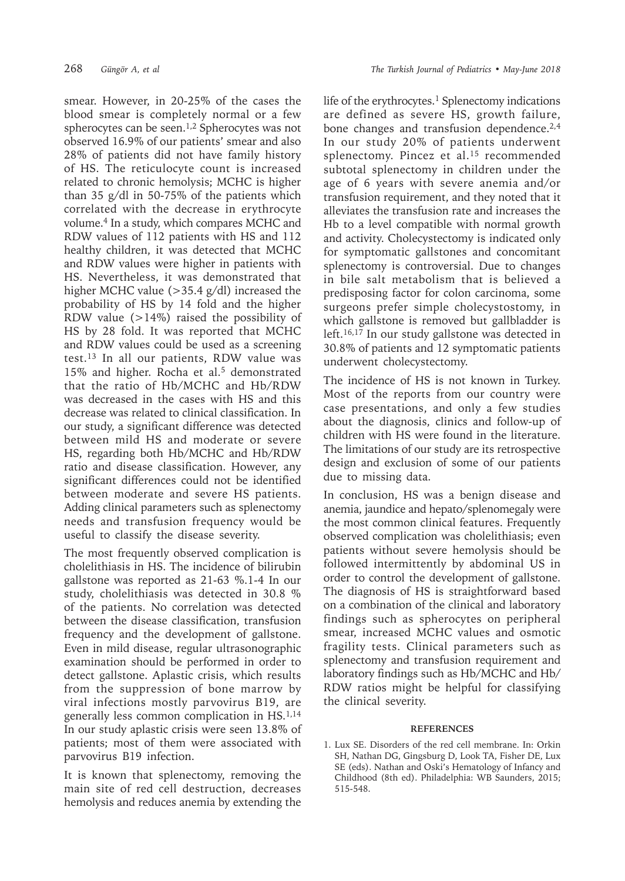smear. However, in 20-25% of the cases the blood smear is completely normal or a few spherocytes can be seen.<sup>1,2</sup> Spherocytes was not observed 16.9% of our patients' smear and also 28% of patients did not have family history of HS. The reticulocyte count is increased related to chronic hemolysis; MCHC is higher than 35 g/dl in 50-75% of the patients which correlated with the decrease in erythrocyte volume.<sup>4</sup> In a study, which compares MCHC and RDW values of 112 patients with HS and 112 healthy children, it was detected that MCHC and RDW values were higher in patients with HS. Nevertheless, it was demonstrated that higher MCHC value (>35.4 g/dl) increased the probability of HS by 14 fold and the higher RDW value  $(>14\%)$  raised the possibility of HS by 28 fold. It was reported that MCHC and RDW values could be used as a screening test.<sup>13</sup> In all our patients, RDW value was 15% and higher. Rocha et al.<sup>5</sup> demonstrated that the ratio of Hb/MCHC and Hb/RDW was decreased in the cases with HS and this decrease was related to clinical classification. In our study, a significant difference was detected between mild HS and moderate or severe HS, regarding both Hb/MCHC and Hb/RDW ratio and disease classification. However, any significant differences could not be identified between moderate and severe HS patients. Adding clinical parameters such as splenectomy needs and transfusion frequency would be useful to classify the disease severity.

The most frequently observed complication is cholelithiasis in HS. The incidence of bilirubin gallstone was reported as 21-63 %.1-4 In our study, cholelithiasis was detected in 30.8 % of the patients. No correlation was detected between the disease classification, transfusion frequency and the development of gallstone. Even in mild disease, regular ultrasonographic examination should be performed in order to detect gallstone. Aplastic crisis, which results from the suppression of bone marrow by viral infections mostly parvovirus B19, are generally less common complication in HS.1,14 In our study aplastic crisis were seen 13.8% of patients; most of them were associated with parvovirus B19 infection.

It is known that splenectomy, removing the main site of red cell destruction, decreases hemolysis and reduces anemia by extending the life of the erythrocytes.<sup>1</sup> Splenectomy indications are defined as severe HS, growth failure, bone changes and transfusion dependence.<sup>2,4</sup> In our study 20% of patients underwent splenectomy. Pincez et al.<sup>15</sup> recommended subtotal splenectomy in children under the age of 6 years with severe anemia and/or transfusion requirement, and they noted that it alleviates the transfusion rate and increases the Hb to a level compatible with normal growth and activity. Cholecystectomy is indicated only for symptomatic gallstones and concomitant splenectomy is controversial. Due to changes in bile salt metabolism that is believed a predisposing factor for colon carcinoma, some surgeons prefer simple cholecystostomy, in which gallstone is removed but gallbladder is left.16,17 In our study gallstone was detected in 30.8% of patients and 12 symptomatic patients underwent cholecystectomy.

The incidence of HS is not known in Turkey. Most of the reports from our country were case presentations, and only a few studies about the diagnosis, clinics and follow-up of children with HS were found in the literature. The limitations of our study are its retrospective design and exclusion of some of our patients due to missing data.

In conclusion, HS was a benign disease and anemia, jaundice and hepato/splenomegaly were the most common clinical features. Frequently observed complication was cholelithiasis; even patients without severe hemolysis should be followed intermittently by abdominal US in order to control the development of gallstone. The diagnosis of HS is straightforward based on a combination of the clinical and laboratory findings such as spherocytes on peripheral smear, increased MCHC values and osmotic fragility tests. Clinical parameters such as splenectomy and transfusion requirement and laboratory findings such as Hb/MCHC and Hb/ RDW ratios might be helpful for classifying the clinical severity.

## **REFERENCES**

1. Lux SE. Disorders of the red cell membrane. In: Orkin SH, Nathan DG, Gingsburg D, Look TA, Fisher DE, Lux SE (eds). Nathan and Oski's Hematology of Infancy and Childhood (8th ed). Philadelphia: WB Saunders, 2015; 515-548.